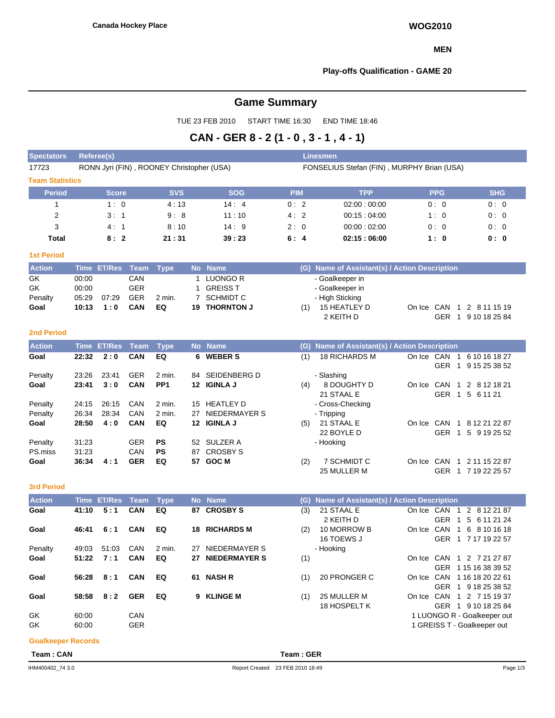#### **MEN**

#### **Play-offs Qualification - GAME 20**

# **Game Summary**

TUE 23 FEB 2010 START TIME 16:30 END TIME 18:46

# **CAN - GER 8 - 2 (1 - 0 , 3 - 1 , 4 - 1)**

| Referee(s)             |            |            |                                           | <b>Linesmen</b>                            |            |            |  |  |  |  |  |  |  |
|------------------------|------------|------------|-------------------------------------------|--------------------------------------------|------------|------------|--|--|--|--|--|--|--|
|                        |            |            |                                           | FONSELIUS Stefan (FIN), MURPHY Brian (USA) |            |            |  |  |  |  |  |  |  |
| <b>Team Statistics</b> |            |            |                                           |                                            |            |            |  |  |  |  |  |  |  |
| <b>Score</b>           | <b>SVS</b> | <b>SOG</b> | <b>PIM</b>                                | <b>TPP</b>                                 | <b>PPG</b> | <b>SHG</b> |  |  |  |  |  |  |  |
| 1:0                    | 4:13       | 14:4       | 0:2                                       | 02:00:00:00                                | 0:0        | 0:0        |  |  |  |  |  |  |  |
| 3:1                    | 9:8        | 11:10      | 4:2                                       | 00:15:04:00                                | 1:0        | 0:0        |  |  |  |  |  |  |  |
| 4:1                    | 8:10       | 14:9       | 2:0                                       | 00:00:02:00                                | 0:0        | 0:0        |  |  |  |  |  |  |  |
| 8:2                    | 21:31      | 39:23      | 6:4                                       | 02:15:06:00                                | 1:0        | 0: 0       |  |  |  |  |  |  |  |
|                        |            |            |                                           |                                            |            |            |  |  |  |  |  |  |  |
|                        |            |            | RONN Jyri (FIN), ROONEY Christopher (USA) |                                            |            |            |  |  |  |  |  |  |  |

| <b>Action</b> |       | Time ET/Res Team Type |            |          | No Name              | (G) Name of Assistant(s) / Action Description |
|---------------|-------|-----------------------|------------|----------|----------------------|-----------------------------------------------|
| GK            | 00:00 |                       | CAN        |          | LUONGO R             | - Goalkeeper in                               |
| GK            | 00:00 |                       | GER        |          | <b>GREISS T</b>      | - Goalkeeper in                               |
| Penalty       | 05:29 | 07.29                 | <b>GER</b> | $2$ min. | 7 SCHMIDT C          | - High Sticking                               |
| Goal          | 10:13 | 1:0                   | CAN        | EQ       | <b>19 THORNTON J</b> | 15 HEATLEY D<br>On Ice CAN 1 2 8 11 15 19     |
|               |       |                       |            |          |                      | 9 10 18 25 84<br>GER<br>2 KEITH D             |

#### **2nd Period**

| <b>Action</b> |       | Time ET/Res | Team       | Type            |     | No Name         |     | (G) Name of Assistant(s) / Action Description |            |                  |                |
|---------------|-------|-------------|------------|-----------------|-----|-----------------|-----|-----------------------------------------------|------------|------------------|----------------|
| Goal          | 22:32 | 2:0         | <b>CAN</b> | EQ              | 6.  | <b>WEBER S</b>  | (1) | <b>18 RICHARDS M</b>                          | On Ice CAN |                  | 6 10 16 18 27  |
|               |       |             |            |                 |     |                 |     |                                               |            | <b>GER</b>       | 9 15 25 38 52  |
| Penalty       | 23:26 | 23:41       | <b>GER</b> | 2 min.          | 84  | SEIDENBERG D    |     | - Slashing                                    |            |                  |                |
| Goal          | 23:41 | 3:0         | <b>CAN</b> | PP <sub>1</sub> | 12  | <b>IGINLA J</b> | (4) | 8 DOUGHTY D                                   | On Ice CAN |                  | 1 2 8 12 18 21 |
|               |       |             |            |                 |     |                 |     | 21 STAAL E                                    |            | <b>GER</b><br>-1 | 5 6 11 21      |
| Penalty       | 24:15 | 26:15       | CAN        | 2 min.          | 15  | HEATLEY D       |     | - Cross-Checking                              |            |                  |                |
| Penalty       | 26:34 | 28:34       | CAN        | 2 min.          | 27  | NIEDERMAYER S   |     | - Tripping                                    |            |                  |                |
| Goal          | 28:50 | 4:0         | <b>CAN</b> | EQ              | 12. | <b>IGINLA J</b> | (5) | 21 STAAL E                                    | On Ice     | CAN<br>-1        | 8 12 21 22 87  |
|               |       |             |            |                 |     |                 |     | 22 BOYLE D                                    |            | <b>GER</b>       | 5 9 19 25 52   |
| Penalty       | 31:23 |             | <b>GER</b> | <b>PS</b>       |     | 52 SULZER A     |     | - Hooking                                     |            |                  |                |
| PS.miss       | 31:23 |             | CAN        | <b>PS</b>       | 87  | <b>CROSBY S</b> |     |                                               |            |                  |                |
| Goal          | 36:34 | 4:1         | <b>GER</b> | EQ              | 57  | <b>GOC M</b>    | (2) | 7 SCHMIDT C                                   | On Ice     | CAN<br>-1        | 2 11 15 22 87  |
|               |       |             |            |                 |     |                 |     | 25 MULLER M                                   |            | <b>GER</b>       | 7 19 22 25 57  |

#### **3rd Period**

| <b>Action</b> |       | Time ET/Res Team Type |            |        |    | No Name              | (G) | Name of Assistant(s) / Action Description |            |                                                                 |
|---------------|-------|-----------------------|------------|--------|----|----------------------|-----|-------------------------------------------|------------|-----------------------------------------------------------------|
| Goal          | 41:10 | 5:1                   | <b>CAN</b> | EQ     | 87 | <b>CROSBY S</b>      | (3) | 21 STAAL E<br>2 KEITH D                   | On Ice CAN | 2<br>8 12 21 87<br>-1<br><b>GER</b><br>5 6 11 21 24             |
| Goal          | 46:41 | 6:1                   | <b>CAN</b> | EQ     | 18 | <b>RICHARDS M</b>    | (2) | 10 MORROW B<br>16 TOEWS J                 | On Ice     | CAN<br>6 8 10 16 18<br>$\overline{1}$<br>GER<br>1 7 17 19 22 57 |
| Penalty       | 49:03 | 51:03                 | CAN        | 2 min. | 27 | NIEDERMAYER S        |     | - Hooking                                 |            |                                                                 |
| Goal          | 51:22 | 7:1                   | <b>CAN</b> | EQ     | 27 | <b>NIEDERMAYER S</b> | (1) |                                           |            | On Ice CAN 1 2 7 21 27 87<br>GER 1 15 16 38 39 52               |
| Goal          | 56:28 | 8:1                   | <b>CAN</b> | EQ     | 61 | <b>NASH R</b>        | (1) | 20 PRONGER C                              | On Ice     | CAN 1 16 18 20 22 61<br>GER 1 9 18 25 38 52                     |
| Goal          | 58:58 | 8:2                   | <b>GER</b> | EQ     | 9. | <b>KLINGE M</b>      | (1) | 25 MULLER M<br>18 HOSPELT K               | On Ice     | CAN 1 2 7 15 19 37<br>GER 1 9 10 18 25 84                       |
| GK            | 60:00 |                       | CAN        |        |    |                      |     |                                           |            | 1 LUONGO R - Goalkeeper out                                     |
| GK            | 60:00 |                       | <b>GER</b> |        |    |                      |     |                                           |            | 1 GREISS T - Goalkeeper out                                     |

#### **Goalkeeper Records**

**Team : CAN Team : GER**

GER 1 7 19 22 25 57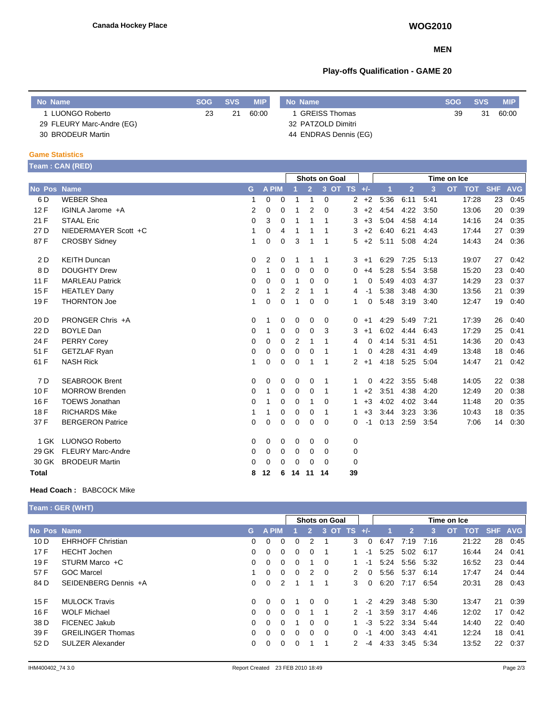### **MEN**

# **Play-offs Qualification - GAME 20**

| No Name                   | <b>SOG</b> | <b>SVS</b> | <b>MIP</b> | No Name               | <b>SOG</b> | <b>SVS</b> | <b>MIP</b> |
|---------------------------|------------|------------|------------|-----------------------|------------|------------|------------|
| LUONGO Roberto            | 23         | 21         | 60:00      | <b>GREISS Thomas</b>  | 39         | 31         | 60:00      |
| 29 FLEURY Marc-Andre (EG) |            |            |            | 32 PATZOLD Dimitri    |            |            |            |
| 30 BRODEUR Martin         |            |            |            | 44 ENDRAS Dennis (EG) |            |            |            |

#### **Game Statistics**

|                    | <b>Feam:CAN (RED)</b>    |          |              |                |                |                      |             |             |                      |      |             |                |      |                         |            |            |
|--------------------|--------------------------|----------|--------------|----------------|----------------|----------------------|-------------|-------------|----------------------|------|-------------|----------------|------|-------------------------|------------|------------|
|                    |                          |          |              |                |                | <b>Shots on Goal</b> |             |             |                      |      |             |                |      | Time on Ice             |            |            |
| <b>No Pos Name</b> |                          | G        | <b>A PIM</b> |                |                | $\overline{2}$       |             | 3 OT TS +/- |                      |      | $\mathbf 1$ | $\overline{2}$ | 3    | <b>OT</b><br><b>TOT</b> | <b>SHF</b> | <b>AVG</b> |
| 6 D                | <b>WEBER Shea</b>        | 1        | 0            | 0              | 1              | $\mathbf{1}$         | $\mathbf 0$ |             | $\mathbf{2}^{\circ}$ | $+2$ | 5:36        | 6:11           | 5:41 | 17:28                   | 23         | 0.45       |
| 12F                | IGINLA Jarome +A         | 2        | $\Omega$     | $\Omega$       | 1              | 2                    | $\Omega$    |             | 3                    | $+2$ | 4:54        | 4:22           | 3:50 | 13:06                   | 20         | 0:39       |
| 21 F               | <b>STAAL Eric</b>        | 0        | 3            | 0              |                | 1                    | 1           |             | 3                    | $+3$ | 5:04        | 4:58           | 4:14 | 14:16                   | 24         | 0:35       |
| 27 D               | NIEDERMAYER Scott +C     |          | 0            | 4              | 1              | 1                    | 1           |             | 3                    | $+2$ | 6:40        | 6:21           | 4:43 | 17:44                   | 27         | 0:39       |
| 87F                | <b>CROSBY Sidney</b>     | 1        | 0            | $\mathbf 0$    | 3              | 1                    | 1           |             | 5                    | $+2$ | 5:11        | 5:08           | 4:24 | 14:43                   | 24         | 0:36       |
| 2 D                | <b>KEITH Duncan</b>      | 0        | 2            | 0              | 1              | 1                    | 1           |             | 3                    | $+1$ | 6:29        | 7:25           | 5:13 | 19:07                   | 27         | 0:42       |
| 8D                 | <b>DOUGHTY Drew</b>      | 0        | 1            | $\Omega$       | $\Omega$       | 0                    | $\Omega$    |             | 0                    | $+4$ | 5:28        | 5:54           | 3:58 | 15:20                   | 23         | 0:40       |
| 11 F               | <b>MARLEAU Patrick</b>   | 0        | 0            | 0              | 1              | 0                    | 0           |             | 1                    | 0    | 5:49        | 4:03           | 4:37 | 14:29                   | 23         | 0:37       |
| 15F                | <b>HEATLEY Dany</b>      | 0        | 1            | $\overline{2}$ | $\overline{2}$ | 1                    | 1           |             | 4                    | $-1$ | 5:38        | 3:48           | 4:30 | 13:56                   | 21         | 0:39       |
| 19F                | <b>THORNTON Joe</b>      | 1        | 0            | 0              | 1              | 0                    | $\mathbf 0$ |             | 1                    | 0    | 5:48        | 3:19           | 3:40 | 12:47                   | 19         | 0:40       |
| 20 D               | PRONGER Chris +A         | 0        | 1            | 0              | 0              | 0                    | 0           |             | 0                    | $+1$ | 4:29        | 5:49           | 7:21 | 17:39                   | 26         | 0:40       |
| 22 D               | <b>BOYLE Dan</b>         | 0        | 1            | 0              | 0              | $\Omega$             | 3           |             | 3                    | $+1$ | 6:02        | 4:44           | 6:43 | 17:29                   | 25         | 0:41       |
| 24 F               | <b>PERRY Corey</b>       | 0        | 0            | 0              | $\overline{2}$ | 1                    | 1           |             | 4                    | 0    | 4:14        | 5:31           | 4:51 | 14:36                   | 20         | 0:43       |
| 51 F               | <b>GETZLAF Ryan</b>      | 0        | 0            | 0              | 0              | 0                    | 1           |             | 1                    | 0    | 4:28        | 4:31           | 4:49 | 13:48                   | 18         | 0:46       |
| 61 F               | <b>NASH Rick</b>         | 1        | 0            | 0              | $\mathbf 0$    | 1                    | 1           |             | 2                    | $+1$ | 4:18        | 5:25           | 5:04 | 14:47                   | 21         | 0:42       |
| 7 D                | <b>SEABROOK Brent</b>    | 0        | 0            | 0              | 0              | 0                    | -1          |             | 1                    | 0    | 4:22        | 3:55           | 5:48 | 14:05                   | 22         | 0:38       |
| 10F                | <b>MORROW Brenden</b>    | 0        | 1            | 0              | 0              | 0                    | 1           |             | 1                    | $+2$ | 3:51        | 4:38           | 4:20 | 12:49                   | 20         | 0:38       |
| 16 F               | <b>TOEWS Jonathan</b>    | 0        | 1            | 0              | 0              | 1                    | 0           |             | 1                    | $+3$ | 4:02        | 4:02           | 3:44 | 11:48                   | 20         | 0:35       |
| 18 F               | <b>RICHARDS Mike</b>     | 1        | 1            | 0              | 0              | 0                    | 1           |             | 1                    | $+3$ | 3:44        | 3:23           | 3:36 | 10:43                   | 18         | 0:35       |
| 37 F               | <b>BERGERON Patrice</b>  | 0        | $\Omega$     | 0              | $\mathbf 0$    | 0                    | $\Omega$    |             | $\Omega$             | $-1$ | 0:13        | 2:59           | 3.54 | 7:06                    | 14         | 0:30       |
| 1 GK               | <b>LUONGO Roberto</b>    | 0        | 0            | 0              | 0              | 0                    | $\Omega$    |             | 0                    |      |             |                |      |                         |            |            |
| 29 GK              | <b>FLEURY Marc-Andre</b> | 0        | 0            | 0              | 0              | 0                    | 0           |             | $\mathbf 0$          |      |             |                |      |                         |            |            |
| 30 GK              | <b>BRODEUR Martin</b>    | $\Omega$ | $\mathbf 0$  | 0              | $\mathbf 0$    | 0                    | $\Omega$    |             | $\mathbf 0$          |      |             |                |      |                         |            |            |
| Total              |                          | 8        | 12           | 6              | 14             | 11                   | 14          |             | 39                   |      |             |                |      |                         |            |            |

#### **Head Coach :** BABCOCK Mike

|             | <b>Team : GER (WHT)</b>  |          |              |             |          |                |          |                      |          |                |             |                |       |           |       |         |      |
|-------------|--------------------------|----------|--------------|-------------|----------|----------------|----------|----------------------|----------|----------------|-------------|----------------|-------|-----------|-------|---------|------|
|             |                          |          |              |             |          |                |          | <b>Shots on Goal</b> |          |                | Time on Ice |                |       |           |       |         |      |
| No Pos Name |                          | G.       | <b>A PIM</b> |             |          | $\overline{2}$ |          | 3 OT TS              |          | $\blacksquare$ |             | $\overline{2}$ | 3     | <b>OT</b> | TOT   | SHF AVG |      |
| 10D         | <b>EHRHOFF Christian</b> | $\Omega$ | $\Omega$     | $\Omega$    | $\Omega$ | 2              |          |                      | 3        | $\Omega$       | 6:47        | 7:19           | 7:16  |           | 21:22 | 28      | 0:45 |
| 17F         | <b>HECHT</b> Jochen      | 0        | 0            | $\mathbf 0$ | 0        | 0              |          |                      |          | -1             | 5:25        | 5:02 6:17      |       |           | 16:44 | 24      | 0:41 |
| 19 F        | STURM Marco +C           | 0        | $\Omega$     | $\Omega$    | $\Omega$ |                | $\Omega$ |                      |          | -1             | 5:24        | 5:56           | 5:32  |           | 16:52 | 23      | 0:44 |
| 57 F        | <b>GOC Marcel</b>        |          | $\Omega$     | $\Omega$    | $\Omega$ | 2              | - 0      |                      | 2        | $\Omega$       | 5:56        | 5.37 6.14      |       |           | 17:47 | 24      | 0:44 |
| 84 D        | SEIDENBERG Dennis +A     | 0        | 0            | 2           |          |                |          |                      | 3        | $\Omega$       | 6:20        | 7:17           | 6:54  |           | 20:31 | 28      | 0:43 |
| 15F         | <b>MULOCK Travis</b>     | 0        | $\Omega$     | $\Omega$    |          | $\Omega$       | - 0      |                      |          | $-2$           | 4:29        | 3:48           | 5:30  |           | 13:47 | 21      | 0:39 |
| 16 F        | <b>WOLF Michael</b>      | $\Omega$ | $\Omega$     | $\Omega$    | $\Omega$ |                |          |                      | 2        | $-1$           | 3.59        | 3:17           | 4:46  |           | 12:02 | 17      | 0:42 |
| 38 D        | <b>FICENEC Jakub</b>     | 0        | $\Omega$     | $\Omega$    |          | 0              | - 0      |                      |          | $-3$           | 5:22        | 3:34           | -5:44 |           | 14:40 | 22      | 0:40 |
| 39 F        | <b>GREILINGER Thomas</b> | 0        | $\Omega$     | $\Omega$    | $\Omega$ | $\Omega$       | $\Omega$ |                      | $\Omega$ | -1             | 4:00        | 3:43           | 4:41  |           | 12:24 | 18      | 0:41 |
| 52 D        | <b>SULZER Alexander</b>  | 0        | 0            | $\mathbf 0$ | 0        |                |          |                      | 2        | -4             | 4:33        | 3:45           | 5:34  |           | 13:52 | 22      | 0:37 |